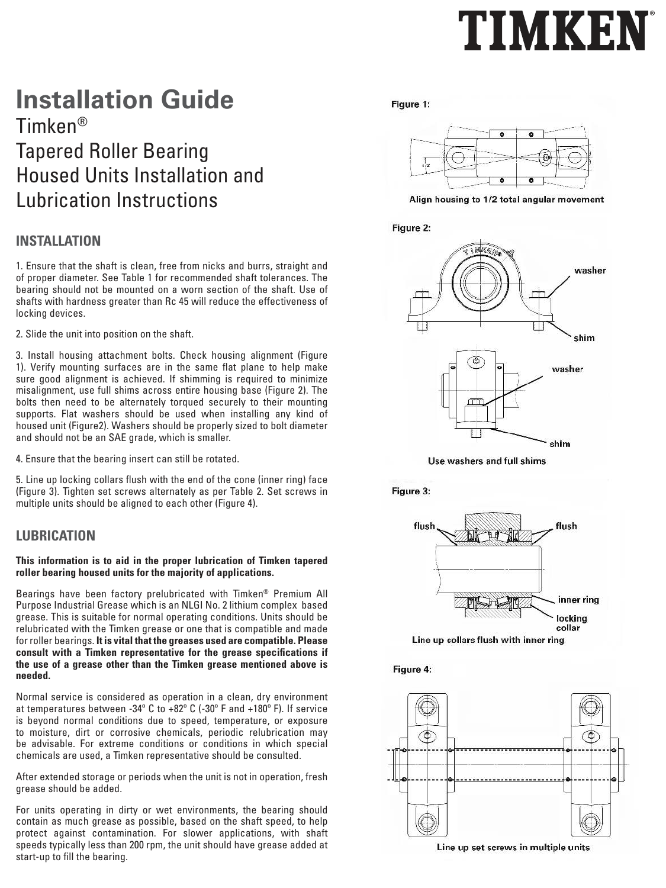# TIMKEN

# **Installation Guide** Timken® Tapered Roller Bearing Housed Units Installation and Lubrication Instructions

## **INSTALLATION**

1. Ensure that the shaft is clean, free from nicks and burrs, straight and of proper diameter. See Table 1 for recommended shaft tolerances. The bearing should not be mounted on a worn section of the shaft. Use of shafts with hardness greater than Rc 45 will reduce the effectiveness of locking devices.

2. Slide the unit into position on the shaft.

3. Install housing attachment bolts. Check housing alignment (Figure 1). Verify mounting surfaces are in the same flat plane to help make sure good alignment is achieved. If shimming is required to minimize misalignment, use full shims across entire housing base (Figure 2). The bolts then need to be alternately torqued securely to their mounting supports. Flat washers should be used when installing any kind of housed unit (Figure2). Washers should be properly sized to bolt diameter and should not be an SAE grade, which is smaller.

4. Ensure that the bearing insert can still be rotated.

5. Line up locking collars flush with the end of the cone (inner ring) face (Figure 3). Tighten set screws alternately as per Table 2. Set screws in multiple units should be aligned to each other (Figure 4).

## **LUBRICATION**

#### **This information is to aid in the proper lubrication of Timken tapered roller bearing housed units for the majority of applications.**

Bearings have been factory prelubricated with Timken® Premium All Purpose Industrial Grease which is an NLGI No. 2 lithium complex based grease. This is suitable for normal operating conditions. Units should be relubricated with the Timken grease or one that is compatible and made for roller bearings. **It is vital that the greases used are compatible. Please consult with a Timken representative for the grease specifications if the use of a grease other than the Timken grease mentioned above is needed.**

Normal service is considered as operation in a clean, dry environment at temperatures between -34º C to +82º C (-30º F and +180º F). If service is beyond normal conditions due to speed, temperature, or exposure to moisture, dirt or corrosive chemicals, periodic relubrication may be advisable. For extreme conditions or conditions in which special chemicals are used, a Timken representative should be consulted.

After extended storage or periods when the unit is not in operation, fresh grease should be added.

For units operating in dirty or wet environments, the bearing should contain as much grease as possible, based on the shaft speed, to help protect against contamination. For slower applications, with shaft speeds typically less than 200 rpm, the unit should have grease added at start-up to fill the bearing.

#### Figure 1:



Align housing to 1/2 total angular movement





Use washers and full shims





Line up collars flush with inner ring

Figure 4: